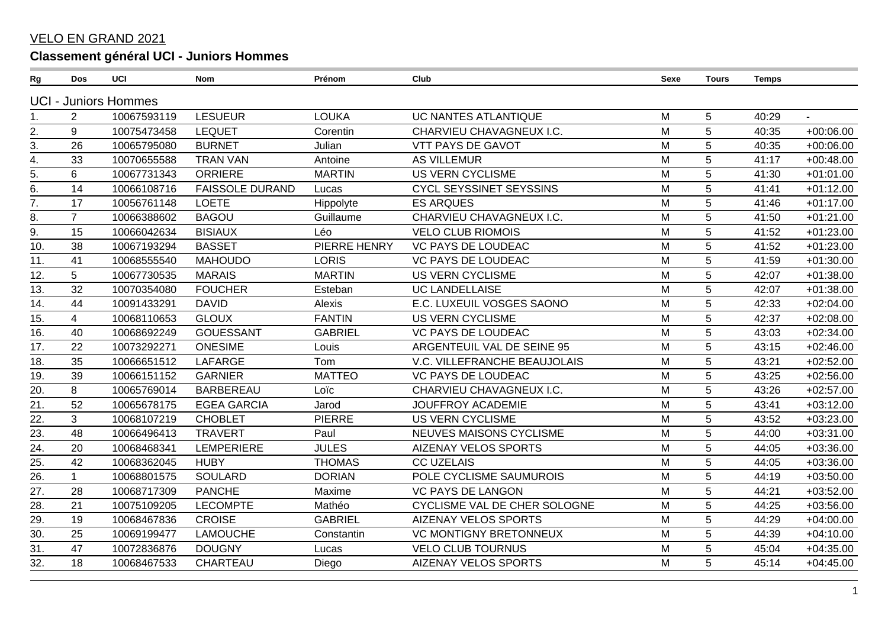## VELO EN GRAND 2021

## **Classement général UCI - Juniors Hommes**

| Rg                | <b>Dos</b>      | UCI                         | <b>Nom</b>             | Prénom         | Club                           | Sexe | <b>Tours</b>   | <b>Temps</b> |             |
|-------------------|-----------------|-----------------------------|------------------------|----------------|--------------------------------|------|----------------|--------------|-------------|
|                   |                 | <b>UCI - Juniors Hommes</b> |                        |                |                                |      |                |              |             |
| 1.                | $\overline{2}$  | 10067593119                 | <b>LESUEUR</b>         | <b>LOUKA</b>   | UC NANTES ATLANTIQUE           | M    | 5              | 40:29        |             |
| $\overline{2}$ .  | 9               | 10075473458                 | <b>LEQUET</b>          | Corentin       | CHARVIEU CHAVAGNEUX I.C.       | M    | 5              | 40:35        | $+00:06.00$ |
| $\overline{3}$ .  | 26              | 10065795080                 | <b>BURNET</b>          | Julian         | <b>VTT PAYS DE GAVOT</b>       | M    | $\overline{5}$ | 40:35        | $+00:06.00$ |
| 4.                | 33              | 10070655588                 | <b>TRAN VAN</b>        | Antoine        | <b>AS VILLEMUR</b>             | M    | 5              | 41:17        | $+00:48.00$ |
| $\overline{5}$ .  | 6               | 10067731343                 | <b>ORRIERE</b>         | <b>MARTIN</b>  | <b>US VERN CYCLISME</b>        | M    | 5              | 41:30        | $+01:01.00$ |
| $\overline{6}$ .  | $\overline{14}$ | 10066108716                 | <b>FAISSOLE DURAND</b> | Lucas          | <b>CYCL SEYSSINET SEYSSINS</b> | M    | $\overline{5}$ | 41:41        | $+01:12.00$ |
| 7.                | 17              | 10056761148                 | <b>LOETE</b>           | Hippolyte      | <b>ES ARQUES</b>               | M    | 5              | 41:46        | $+01:17.00$ |
| 8.                | $\overline{7}$  | 10066388602                 | <b>BAGOU</b>           | Guillaume      | CHARVIEU CHAVAGNEUX I.C.       | M    | 5              | 41:50        | $+01:21.00$ |
| $\overline{9}$ .  | 15              | 10066042634                 | <b>BISIAUX</b>         | Léo            | <b>VELO CLUB RIOMOIS</b>       | M    | 5              | 41:52        | $+01:23.00$ |
| 10.               | 38              | 10067193294                 | <b>BASSET</b>          | PIERRE HENRY   | <b>VC PAYS DE LOUDEAC</b>      | M    | 5              | 41:52        | $+01:23.00$ |
| 11.               | 41              | 10068555540                 | <b>MAHOUDO</b>         | <b>LORIS</b>   | <b>VC PAYS DE LOUDEAC</b>      | M    | 5              | 41:59        | $+01:30.00$ |
| 12.               | 5               | 10067730535                 | <b>MARAIS</b>          | <b>MARTIN</b>  | <b>US VERN CYCLISME</b>        | M    | 5              | 42:07        | $+01:38.00$ |
| 13.               | 32              | 10070354080                 | <b>FOUCHER</b>         | Esteban        | <b>UC LANDELLAISE</b>          | M    | 5              | 42:07        | $+01:38.00$ |
| 14.               | 44              | 10091433291                 | <b>DAVID</b>           | Alexis         | E.C. LUXEUIL VOSGES SAONO      | M    | 5              | 42:33        | $+02:04.00$ |
| 15.               | $\overline{4}$  | 10068110653                 | <b>GLOUX</b>           | <b>FANTIN</b>  | <b>US VERN CYCLISME</b>        | M    | 5              | 42:37        | $+02:08.00$ |
| 16.               | 40              | 10068692249                 | <b>GOUESSANT</b>       | <b>GABRIEL</b> | <b>VC PAYS DE LOUDEAC</b>      | M    | 5              | 43:03        | $+02:34.00$ |
| 17.               | 22              | 10073292271                 | <b>ONESIME</b>         | Louis          | ARGENTEUIL VAL DE SEINE 95     | M    | 5              | 43:15        | $+02:46.00$ |
| 18.               | 35              | 10066651512                 | <b>LAFARGE</b>         | Tom            | V.C. VILLEFRANCHE BEAUJOLAIS   | M    | 5              | 43:21        | $+02:52.00$ |
| $\overline{19}$ . | 39              | 10066151152                 | <b>GARNIER</b>         | <b>MATTEO</b>  | <b>VC PAYS DE LOUDEAC</b>      | M    | 5              | 43:25        | $+02:56.00$ |
| 20.               | 8               | 10065769014                 | <b>BARBEREAU</b>       | Loïc           | CHARVIEU CHAVAGNEUX I.C.       | M    | 5              | 43:26        | $+02:57.00$ |
| $\overline{21}$   | 52              | 10065678175                 | <b>EGEA GARCIA</b>     | Jarod          | <b>JOUFFROY ACADEMIE</b>       | M    | 5              | 43:41        | $+03:12.00$ |
| $\overline{22}$ . | 3               | 10068107219                 | <b>CHOBLET</b>         | <b>PIERRE</b>  | <b>US VERN CYCLISME</b>        | M    | 5              | 43:52        | $+03:23.00$ |
| $\overline{23}$   | 48              | 10066496413                 | <b>TRAVERT</b>         | Paul           | <b>NEUVES MAISONS CYCLISME</b> | M    | 5              | 44:00        | $+03:31.00$ |
| $\overline{24}$   | 20              | 10068468341                 | <b>LEMPERIERE</b>      | <b>JULES</b>   | <b>AIZENAY VELOS SPORTS</b>    | M    | 5              | 44:05        | $+03:36.00$ |
| $\overline{25}$   | 42              | 10068362045                 | <b>HUBY</b>            | <b>THOMAS</b>  | <b>CC UZELAIS</b>              | M    | 5              | 44:05        | $+03:36.00$ |
| $\overline{26}$   | $\mathbf{1}$    | 10068801575                 | <b>SOULARD</b>         | <b>DORIAN</b>  | POLE CYCLISME SAUMUROIS        | M    | 5              | 44:19        | $+03:50.00$ |
| 27.               | 28              | 10068717309                 | <b>PANCHE</b>          | Maxime         | <b>VC PAYS DE LANGON</b>       | M    | 5              | 44:21        | $+03:52.00$ |
| $\overline{28}$   | 21              | 10075109205                 | <b>LECOMPTE</b>        | Mathéo         | CYCLISME VAL DE CHER SOLOGNE   | M    | 5              | 44:25        | $+03:56.00$ |
| 29.               | 19              | 10068467836                 | <b>CROISE</b>          | <b>GABRIEL</b> | <b>AIZENAY VELOS SPORTS</b>    | M    | 5              | 44:29        | $+04:00.00$ |
| $\overline{30}$   | 25              | 10069199477                 | <b>LAMOUCHE</b>        | Constantin     | <b>VC MONTIGNY BRETONNEUX</b>  | M    | 5              | 44:39        | $+04:10.00$ |
| $\overline{31}$   | 47              | 10072836876                 | <b>DOUGNY</b>          | Lucas          | <b>VELO CLUB TOURNUS</b>       | M    | 5              | 45:04        | $+04:35.00$ |
| 32.               | 18              | 10068467533                 | CHARTEAU               | Diego          | <b>AIZENAY VELOS SPORTS</b>    | M    | 5              | 45:14        | $+04:45.00$ |